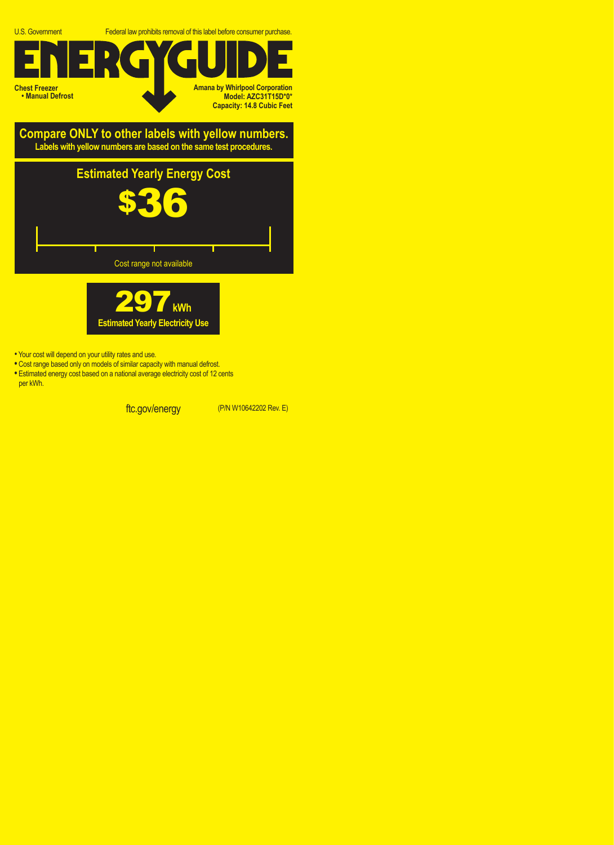

**Compare ONLY to other labels with yellow numbers. Labels with yellow numbers are based on the same test procedures.**





- Your cost will depend on your utility rates and use.
- **•** Cost range based only on models of similar capacity with manual defrost.
- **•** Estimated energy cost based on a national average electricity cost of 12 cents per kWh.

ftc.gov/energy (P/N W10642202 Rev. E)